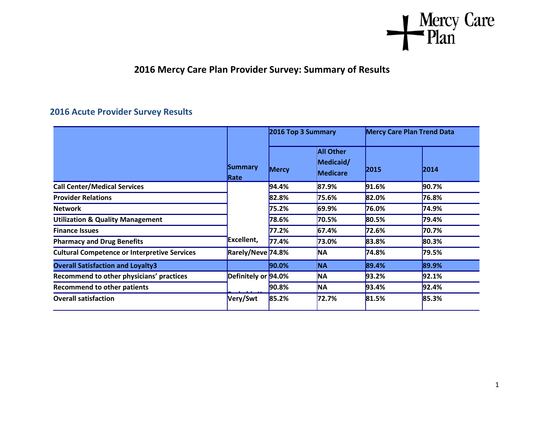

## **2016 Mercy Care Plan Provider Survey: Summary of Results**

## **2016 Acute Provider Survey Results**

|                                                     |                        | 2016 Top 3 Summary |                                                  |       | <b>Mercy Care Plan Trend Data</b> |  |
|-----------------------------------------------------|------------------------|--------------------|--------------------------------------------------|-------|-----------------------------------|--|
|                                                     | <b>Summary</b><br>Rate | <b>Mercy</b>       | <b>All Other</b><br>Medicaid/<br><b>Medicare</b> | 2015  | 2014                              |  |
| <b>Call Center/Medical Services</b>                 |                        | 94.4%              | 87.9%                                            | 91.6% | 90.7%                             |  |
| <b>Provider Relations</b>                           | Excellent,             | 82.8%              | 75.6%                                            | 82.0% | 76.8%                             |  |
| <b>Network</b>                                      |                        | 75.2%              | 69.9%                                            | 76.0% | 74.9%                             |  |
| <b>Utilization &amp; Quality Management</b>         |                        | 78.6%              | 70.5%                                            | 80.5% | 79.4%                             |  |
| <b>Finance Issues</b>                               |                        | 77.2%              | 67.4%                                            | 72.6% | 70.7%                             |  |
| <b>Pharmacy and Drug Benefits</b>                   |                        | 77.4%              | 73.0%                                            | 83.8% | 80.3%                             |  |
| <b>Cultural Competence or Interpretive Services</b> | Rarely/Neve 74.8%      |                    | <b>NA</b>                                        | 74.8% | 79.5%                             |  |
| <b>Overall Satisfaction and Loyalty3</b>            |                        | $ 90.0\%$          | <b>NA</b>                                        | 89.4% | 89.9%                             |  |
| Recommend to other physicians' practices            | Definitely or 94.0%    |                    | <b>NA</b>                                        | 93.2% | 92.1%                             |  |
| <b>Recommend to other patients</b>                  |                        | 90.8%              | <b>NA</b>                                        | 93.4% | 92.4%                             |  |
| <b>Overall satisfaction</b>                         | Very/Swt               | 85.2%              | 72.7%                                            | 81.5% | 85.3%                             |  |